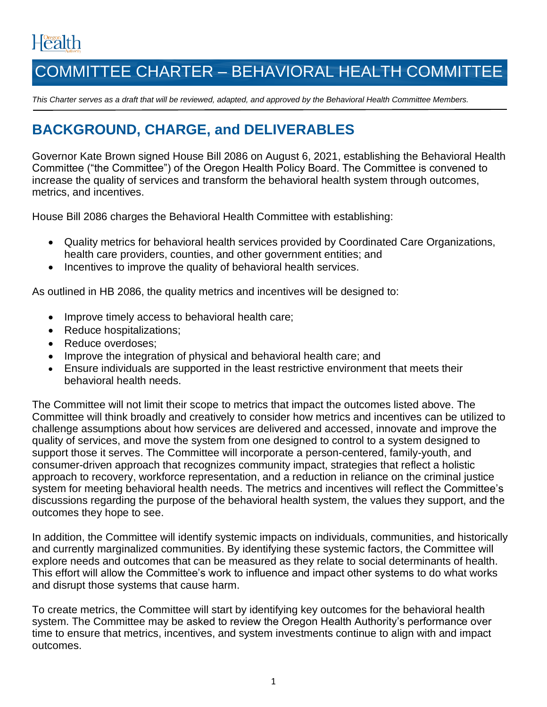# Health

# COMMITTEE CHARTER – BEHAVIORAL HEALTH COMMITTEE

*This Charter serves as a draft that will be reviewed, adapted, and approved by the Behavioral Health Committee Members.*

# **BACKGROUND, CHARGE, and DELIVERABLES**

Governor Kate Brown signed House Bill 2086 on August 6, 2021, establishing the Behavioral Health Committee ("the Committee") of the Oregon Health Policy Board. The Committee is convened to increase the quality of services and transform the behavioral health system through outcomes, metrics, and incentives.

House Bill 2086 charges the Behavioral Health Committee with establishing:

- Quality metrics for behavioral health services provided by Coordinated Care Organizations, health care providers, counties, and other government entities; and
- Incentives to improve the quality of behavioral health services.

As outlined in HB 2086, the quality metrics and incentives will be designed to:

- Improve timely access to behavioral health care;
- Reduce hospitalizations;
- Reduce overdoses;
- Improve the integration of physical and behavioral health care; and
- Ensure individuals are supported in the least restrictive environment that meets their behavioral health needs.

The Committee will not limit their scope to metrics that impact the outcomes listed above. The Committee will think broadly and creatively to consider how metrics and incentives can be utilized to challenge assumptions about how services are delivered and accessed, innovate and improve the quality of services, and move the system from one designed to control to a system designed to support those it serves. The Committee will incorporate a person-centered, family-youth, and consumer-driven approach that recognizes community impact, strategies that reflect a holistic approach to recovery, workforce representation, and a reduction in reliance on the criminal justice system for meeting behavioral health needs. The metrics and incentives will reflect the Committee's discussions regarding the purpose of the behavioral health system, the values they support, and the outcomes they hope to see.

In addition, the Committee will identify systemic impacts on individuals, communities, and historically and currently marginalized communities. By identifying these systemic factors, the Committee will explore needs and outcomes that can be measured as they relate to social determinants of health. This effort will allow the Committee's work to influence and impact other systems to do what works and disrupt those systems that cause harm.

To create metrics, the Committee will start by identifying key outcomes for the behavioral health system. The Committee may be asked to review the Oregon Health Authority's performance over time to ensure that metrics, incentives, and system investments continue to align with and impact outcomes.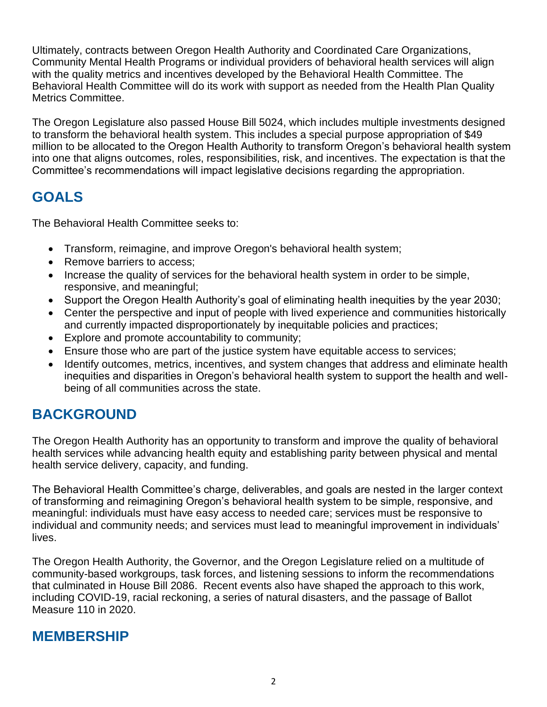Ultimately, contracts between Oregon Health Authority and Coordinated Care Organizations, Community Mental Health Programs or individual providers of behavioral health services will align with the quality metrics and incentives developed by the Behavioral Health Committee. The Behavioral Health Committee will do its work with support as needed from the Health Plan Quality Metrics Committee.

The Oregon Legislature also passed House Bill 5024, which includes multiple investments designed to transform the behavioral health system. This includes a special purpose appropriation of \$49 million to be allocated to the Oregon Health Authority to transform Oregon's behavioral health system into one that aligns outcomes, roles, responsibilities, risk, and incentives. The expectation is that the Committee's recommendations will impact legislative decisions regarding the appropriation.

# **GOALS**

The Behavioral Health Committee seeks to:

- Transform, reimagine, and improve Oregon's behavioral health system;
- Remove barriers to access:
- Increase the quality of services for the behavioral health system in order to be simple, responsive, and meaningful;
- Support the Oregon Health Authority's goal of eliminating health inequities by the year 2030;
- Center the perspective and input of people with lived experience and communities historically and currently impacted disproportionately by inequitable policies and practices;
- Explore and promote accountability to community;
- Ensure those who are part of the justice system have equitable access to services;
- Identify outcomes, metrics, incentives, and system changes that address and eliminate health inequities and disparities in Oregon's behavioral health system to support the health and wellbeing of all communities across the state.

# **BACKGROUND**

The Oregon Health Authority has an opportunity to transform and improve the quality of behavioral health services while advancing health equity and establishing parity between physical and mental health service delivery, capacity, and funding.

The Behavioral Health Committee's charge, deliverables, and goals are nested in the larger context of transforming and reimagining Oregon's behavioral health system to be simple, responsive, and meaningful: individuals must have easy access to needed care; services must be responsive to individual and community needs; and services must lead to meaningful improvement in individuals' lives.

The Oregon Health Authority, the Governor, and the Oregon Legislature relied on a multitude of community-based workgroups, task forces, and listening sessions to inform the recommendations that culminated in House Bill 2086. Recent events also have shaped the approach to this work, including COVID-19, racial reckoning, a series of natural disasters, and the passage of Ballot Measure 110 in 2020.

### **MEMBERSHIP**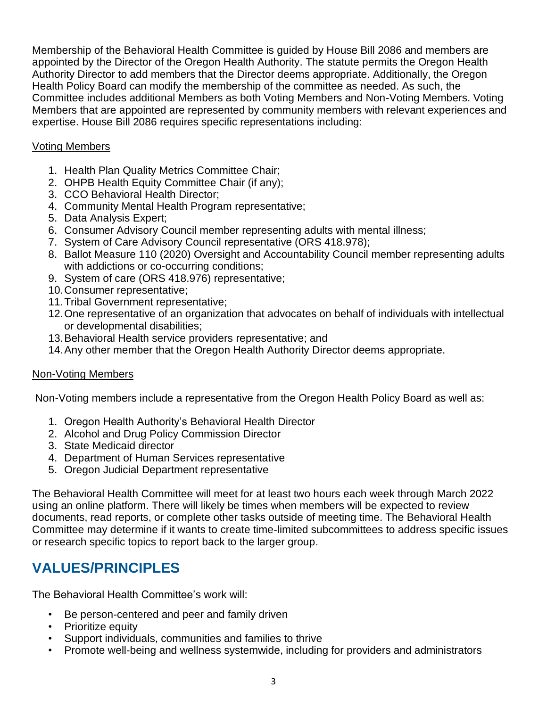Membership of the Behavioral Health Committee is guided by House Bill 2086 and members are appointed by the Director of the Oregon Health Authority. The statute permits the Oregon Health Authority Director to add members that the Director deems appropriate. Additionally, the Oregon Health Policy Board can modify the membership of the committee as needed. As such, the Committee includes additional Members as both Voting Members and Non-Voting Members. Voting Members that are appointed are represented by community members with relevant experiences and expertise. House Bill 2086 requires specific representations including:

#### Voting Members

- 1. Health Plan Quality Metrics Committee Chair;
- 2. OHPB Health Equity Committee Chair (if any);
- 3. CCO Behavioral Health Director;
- 4. Community Mental Health Program representative;
- 5. Data Analysis Expert;
- 6. Consumer Advisory Council member representing adults with mental illness;
- 7. System of Care Advisory Council representative (ORS 418.978);
- 8. Ballot Measure 110 (2020) Oversight and Accountability Council member representing adults with addictions or co-occurring conditions;
- 9. System of care (ORS 418.976) representative;
- 10.Consumer representative;
- 11.Tribal Government representative;
- 12.One representative of an organization that advocates on behalf of individuals with intellectual or developmental disabilities;
- 13.Behavioral Health service providers representative; and
- 14.Any other member that the Oregon Health Authority Director deems appropriate.

#### Non-Voting Members

Non-Voting members include a representative from the Oregon Health Policy Board as well as:

- 1. Oregon Health Authority's Behavioral Health Director
- 2. Alcohol and Drug Policy Commission Director
- 3. State Medicaid director
- 4. Department of Human Services representative
- 5. Oregon Judicial Department representative

The Behavioral Health Committee will meet for at least two hours each week through March 2022 using an online platform. There will likely be times when members will be expected to review documents, read reports, or complete other tasks outside of meeting time. The Behavioral Health Committee may determine if it wants to create time-limited subcommittees to address specific issues or research specific topics to report back to the larger group.

# **VALUES/PRINCIPLES**

The Behavioral Health Committee's work will:

- Be person-centered and peer and family driven
- Prioritize equity
- Support individuals, communities and families to thrive
- Promote well-being and wellness systemwide, including for providers and administrators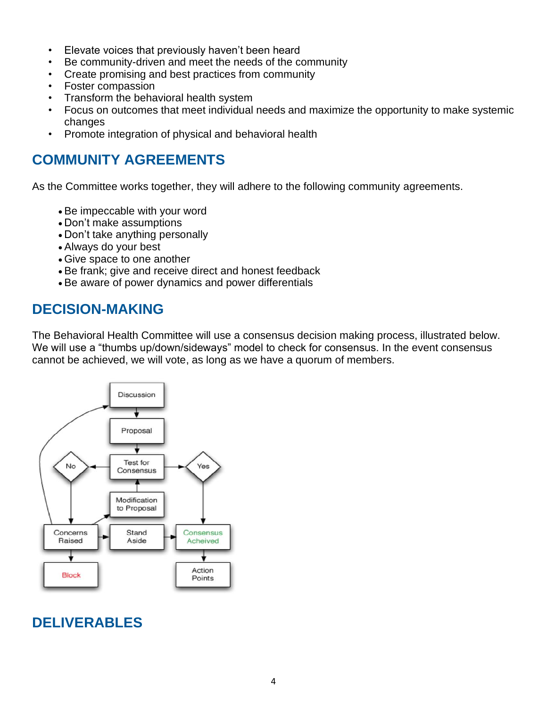- Elevate voices that previously haven't been heard
- Be community-driven and meet the needs of the community
- Create promising and best practices from community
- Foster compassion
- Transform the behavioral health system
- Focus on outcomes that meet individual needs and maximize the opportunity to make systemic changes
- Promote integration of physical and behavioral health

## **COMMUNITY AGREEMENTS**

As the Committee works together, they will adhere to the following community agreements.

- Be impeccable with your word
- Don't make assumptions
- Don't take anything personally
- Always do your best
- Give space to one another
- Be frank; give and receive direct and honest feedback
- Be aware of power dynamics and power differentials

### **DECISION-MAKING**

The Behavioral Health Committee will use a consensus decision making process, illustrated below. We will use a "thumbs up/down/sideways" model to check for consensus. In the event consensus cannot be achieved, we will vote, as long as we have a quorum of members.



# **DELIVERABLES**